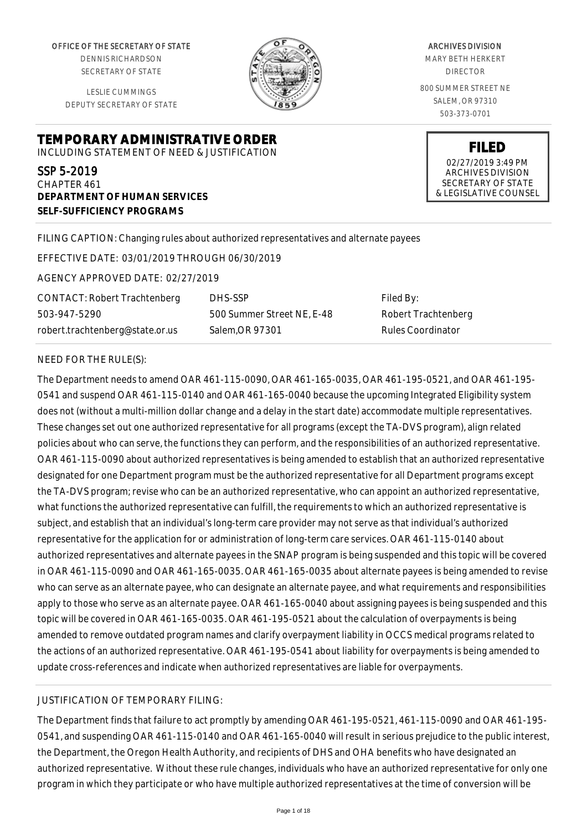OFFICE OF THE SECRETARY OF STATE

DENNIS RICHARDSON SECRETARY OF STATE

LESLIE CUMMINGS DEPUTY SECRETARY OF STATE

# **TEMPORARY ADMINISTRATIVE ORDER** INCLUDING STATEMENT OF NEED & JUSTIFICATION

# SSP 5-2019

CHAPTER 461 **DEPARTMENT OF HUMAN SERVICES SELF-SUFFICIENCY PROGRAMS**

### FILING CAPTION: Changing rules about authorized representatives and alternate payees

EFFECTIVE DATE: 03/01/2019 THROUGH 06/30/2019

AGENCY APPROVED DATE: 02/27/2019

CONTACT: Robert Trachtenberg 503-947-5290 robert.trachtenberg@state.or.us

DHS-SSP 500 Summer Street NE, E-48 Salem,OR 97301

Filed By: Robert Trachtenberg Rules Coordinator

#### NEED FOR THE RULE(S):

The Department needs to amend OAR 461-115-0090, OAR 461-165-0035, OAR 461-195-0521, and OAR 461-195- 0541 and suspend OAR 461-115-0140 and OAR 461-165-0040 because the upcoming Integrated Eligibility system does not (without a multi-million dollar change and a delay in the start date) accommodate multiple representatives. These changes set out one authorized representative for all programs (except the TA-DVS program), align related policies about who can serve, the functions they can perform, and the responsibilities of an authorized representative. OAR 461-115-0090 about authorized representatives is being amended to establish that an authorized representative designated for one Department program must be the authorized representative for all Department programs except the TA-DVS program; revise who can be an authorized representative, who can appoint an authorized representative, what functions the authorized representative can fulfill, the requirements to which an authorized representative is subject, and establish that an individual's long-term care provider may not serve as that individual's authorized representative for the application for or administration of long-term care services. OAR 461-115-0140 about authorized representatives and alternate payees in the SNAP program is being suspended and this topic will be covered in OAR 461-115-0090 and OAR 461-165-0035. OAR 461-165-0035 about alternate payees is being amended to revise who can serve as an alternate payee, who can designate an alternate payee, and what requirements and responsibilities apply to those who serve as an alternate payee. OAR 461-165-0040 about assigning payees is being suspended and this topic will be covered in OAR 461-165-0035. OAR 461-195-0521 about the calculation of overpayments is being amended to remove outdated program names and clarify overpayment liability in OCCS medical programs related to the actions of an authorized representative. OAR 461-195-0541 about liability for overpayments is being amended to update cross-references and indicate when authorized representatives are liable for overpayments.

#### JUSTIFICATION OF TEMPORARY FILING:

The Department finds that failure to act promptly by amending OAR 461-195-0521, 461-115-0090 and OAR 461-195- 0541, and suspending OAR 461-115-0140 and OAR 461-165-0040 will result in serious prejudice to the public interest, the Department, the Oregon Health Authority, and recipients of DHS and OHA benefits who have designated an authorized representative. Without these rule changes, individuals who have an authorized representative for only one program in which they participate or who have multiple authorized representatives at the time of conversion will be

ARCHIVES DIVISION

MARY BETH HERKERT DIRECTOR

800 SUMMER STREET NE SALEM, OR 97310 503-373-0701

> **FILED** 02/27/2019 3:49 PM ARCHIVES DIVISION SECRETARY OF STATE & LEGISLATIVE COUNSEL

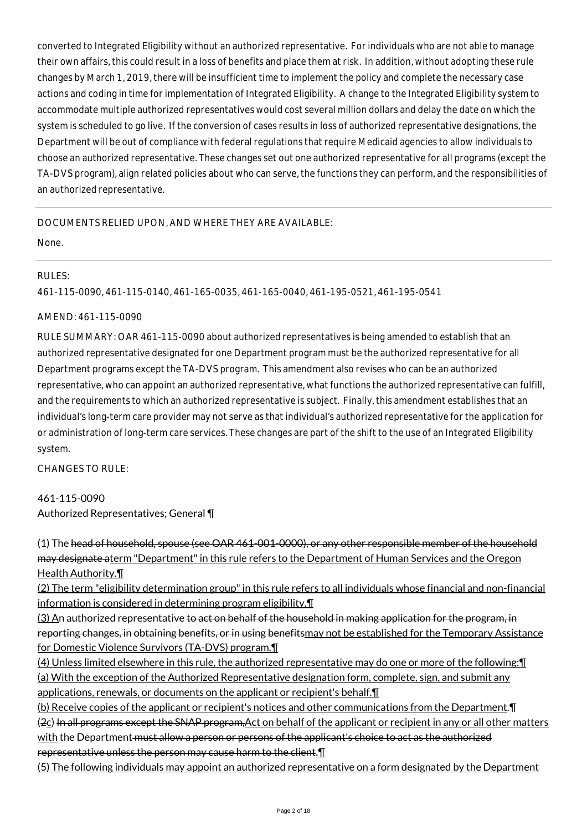converted to Integrated Eligibility without an authorized representative. For individuals who are not able to manage their own affairs, this could result in a loss of benefits and place them at risk. In addition, without adopting these rule changes by March 1, 2019, there will be insufficient time to implement the policy and complete the necessary case actions and coding in time for implementation of Integrated Eligibility. A change to the Integrated Eligibility system to accommodate multiple authorized representatives would cost several million dollars and delay the date on which the system is scheduled to go live. If the conversion of cases results in loss of authorized representative designations, the Department will be out of compliance with federal regulations that require Medicaid agencies to allow individuals to choose an authorized representative. These changes set out one authorized representative for all programs (except the TA-DVS program), align related policies about who can serve, the functions they can perform, and the responsibilities of an authorized representative.

# DOCUMENTS RELIED UPON, AND WHERE THEY ARE AVAILABLE:

None.

# RULES:

461-115-0090, 461-115-0140, 461-165-0035, 461-165-0040, 461-195-0521, 461-195-0541

### AMEND: 461-115-0090

RULE SUMMARY: OAR 461-115-0090 about authorized representatives is being amended to establish that an authorized representative designated for one Department program must be the authorized representative for all Department programs except the TA-DVS program. This amendment also revises who can be an authorized representative, who can appoint an authorized representative, what functions the authorized representative can fulfill, and the requirements to which an authorized representative is subject. Finally, this amendment establishes that an individual's long-term care provider may not serve as that individual's authorized representative for the application for or administration of long-term care services. These changes are part of the shift to the use of an Integrated Eligibility system.

CHANGES TO RULE:

# 461-115-0090 Authorized Representatives; General ¶

(1) The head of household, spouse (see OAR 461-001-0000), or any other responsible member of the household may designate aterm "Department" in this rule refers to the Department of Human Services and the Oregon Health Authority.¶

(2) The term "eligibility determination group" in this rule refers to all individuals whose financial and non-financial information is considered in determining program eligibility.¶

(3) An authorized representative to act on behalf of the household in making application for the program, in reporting changes, in obtaining benefits, or in using benefitsmay not be established for the Temporary Assistance for Domestic Violence Survivors (TA-DVS) program.¶

(4) Unless limited elsewhere in this rule, the authorized representative may do one or more of the following:¶ (a) With the exception of the Authorized Representative designation form, complete, sign, and submit any applications, renewals, or documents on the applicant or recipient's behalf.¶

(b) Receive copies of the applicant or recipient's notices and other communications from the Department.¶ ( $2c$ ) In all programs except the SNAP program, Act on behalf of the applicant or recipient in any or all other matters with the Department must allow a person or persons of the applicant's choice to act as the authorized representative unless the person may cause harm to the client.¶

(5) The following individuals may appoint an authorized representative on a form designated by the Department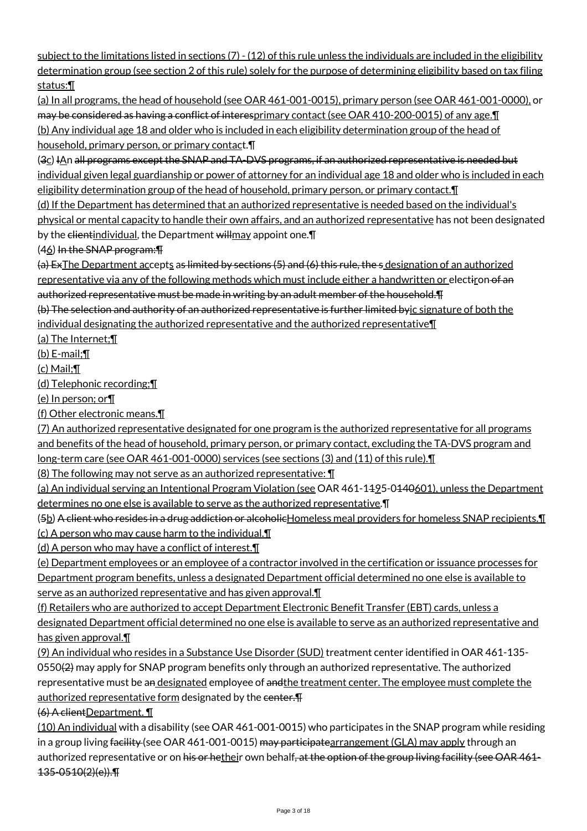subject to the limitations listed in sections (7) - (12) of this rule unless the individuals are included in the eligibility determination group (see section 2 of this rule) solely for the purpose of determining eligibility based on tax filing status:¶

(a) In all programs, the head of household (see OAR 461-001-0015), primary person (see OAR 461-001-0000), or may be considered as having a conflict of interesprimary contact (see OAR 410-200-0015) of any age.¶ (b) Any individual age 18 and older who is included in each eligibility determination group of the head of household, primary person, or primary contact.¶

(3c) IAn all programs except the SNAP and TA-DVS programs, if an authorized representative is needed but individual given legal guardianship or power of attorney for an individual age 18 and older who is included in each eligibility determination group of the head of household, primary person, or primary contact.¶

(d) If the Department has determined that an authorized representative is needed based on the individual's physical or mental capacity to handle their own affairs, and an authorized representative has not been designated by the elientindividual, the Department will may appoint one.

(46) In the SNAP program:¶

(a) ExThe Department accepts as limited by sections (5) and (6) this rule, the s designation of an authorized representative via any of the following methods which must include either a handwritten or electiron of an authorized representative must be made in writing by an adult member of the household.¶

(b) The selection and authority of an authorized representative is further limited byic signature of both the individual designating the authorized representative and the authorized representative¶

(a) The Internet;¶

(b) E-mail;¶

(c) Mail;¶

(d) Telephonic recording;¶

(e) In person; or¶

(f) Other electronic means.¶

(7) An authorized representative designated for one program is the authorized representative for all programs and benefits of the head of household, primary person, or primary contact, excluding the TA-DVS program and long-term care (see OAR 461-001-0000) services (see sections (3) and (11) of this rule).¶

(8) The following may not serve as an authorized representative: ¶

(a) An individual serving an Intentional Program Violation (see OAR 461-1195-0140601), unless the Department determines no one else is available to serve as the authorized representative.¶

(5b) A client who resides in a drug addiction or alcoholic Homeless meal providers for homeless SNAP recipients. I

(c) A person who may cause harm to the individual.¶

(d) A person who may have a conflict of interest.¶

(e) Department employees or an employee of a contractor involved in the certification or issuance processes for Department program benefits, unless a designated Department official determined no one else is available to serve as an authorized representative and has given approval.¶

(f) Retailers who are authorized to accept Department Electronic Benefit Transfer (EBT) cards, unless a designated Department official determined no one else is available to serve as an authorized representative and has given approval.¶

(9) An individual who resides in a Substance Use Disorder (SUD) treatment center identified in OAR 461-135- 0550( $\angle$ ) may apply for SNAP program benefits only through an authorized representative. The authorized representative must be an designated employee of andthe treatment center. The employee must complete the authorized representative form designated by the center. The

(6) A clientDepartment. ¶

(10) An individual with a disability (see OAR 461-001-0015) who participates in the SNAP program while residing in a group living facility (see OAR 461-001-0015) may participatearrangement (GLA) may apply through an authorized representative or on his or hetheir own behalf, at the option of the group living facility (see OAR 461-135-0510(2)(e)).¶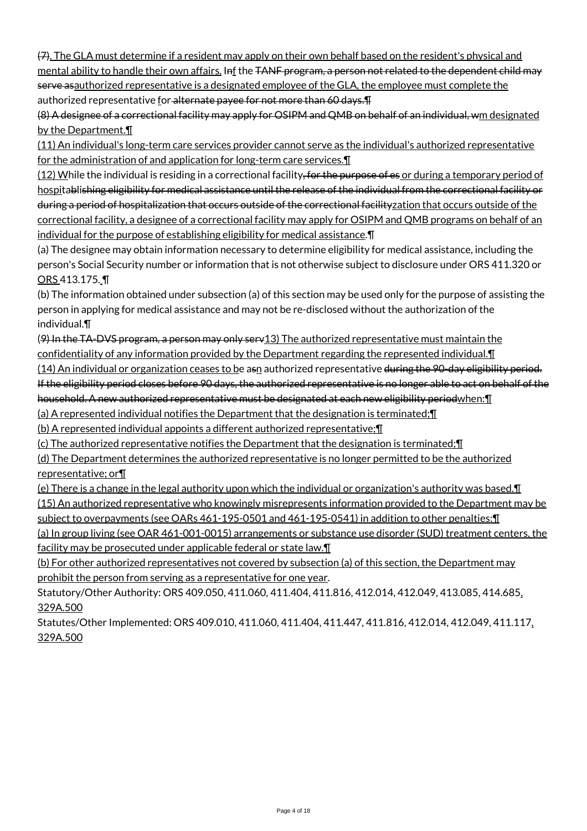(7). The GLA must determine if a resident may apply on their own behalf based on the resident's physical and mental ability to handle their own affairs. Inf the TANF program, a person not related to the dependent child may serve as authorized representative is a designated employee of the GLA, the employee must complete the authorized representative for alternate payee for not more than 60 days. The

(8) A designee of a correctional facility may apply for OSIPM and QMB on behalf of an individual, wm designated by the Department.¶

(11) An individual's long-term care services provider cannot serve as the individual's authorized representative for the administration of and application for long-term care services.¶

(12) While the individual is residing in a correctional facility, for the purpose of es or during a temporary period of hospitablishing eligibility for medical assistance until the release of the individual from the correctional facility or during a period of hospitalization that occurs outside of the correctional facilityzation that occurs outside of the correctional facility, a designee of a correctional facility may apply for OSIPM and QMB programs on behalf of an individual for the purpose of establishing eligibility for medical assistance.¶

(a) The designee may obtain information necessary to determine eligibility for medical assistance, including the person's Social Security number or information that is not otherwise subject to disclosure under ORS 411.320 or ORS 413.175. ¶

(b) The information obtained under subsection (a) of this section may be used only for the purpose of assisting the person in applying for medical assistance and may not be re-disclosed without the authorization of the individual.¶

(9) In the TA-DVS program, a person may only serv13) The authorized representative must maintain the confidentiality of any information provided by the Department regarding the represented individual.¶

(14) An individual or organization ceases to be asn authorized representative during the 90-day eligibility period. If the eligibility period closes before 90 days, the authorized representative is no longer able to act on behalf of the household. A new authorized representative must be designated at each new eligibility periodwhen: [1]

(a) A represented individual notifies the Department that the designation is terminated;¶

(b) A represented individual appoints a different authorized representative;¶

(c) The authorized representative notifies the Department that the designation is terminated;¶

(d) The Department determines the authorized representative is no longer permitted to be the authorized representative; or¶

(e) There is a change in the legal authority upon which the individual or organization's authority was based.¶ (15) An authorized representative who knowingly misrepresents information provided to the Department may be

subject to overpayments (see OARs 461-195-0501 and 461-195-0541) in addition to other penalties:¶

(a) In group living (see OAR 461-001-0015) arrangements or substance use disorder (SUD) treatment centers, the facility may be prosecuted under applicable federal or state law.¶

(b) For other authorized representatives not covered by subsection (a) of this section, the Department may prohibit the person from serving as a representative for one year.

Statutory/Other Authority: ORS 409.050, 411.060, 411.404, 411.816, 412.014, 412.049, 413.085, 414.685, 329A.500

Statutes/Other Implemented: ORS 409.010, 411.060, 411.404, 411.447, 411.816, 412.014, 412.049, 411.117, 329A.500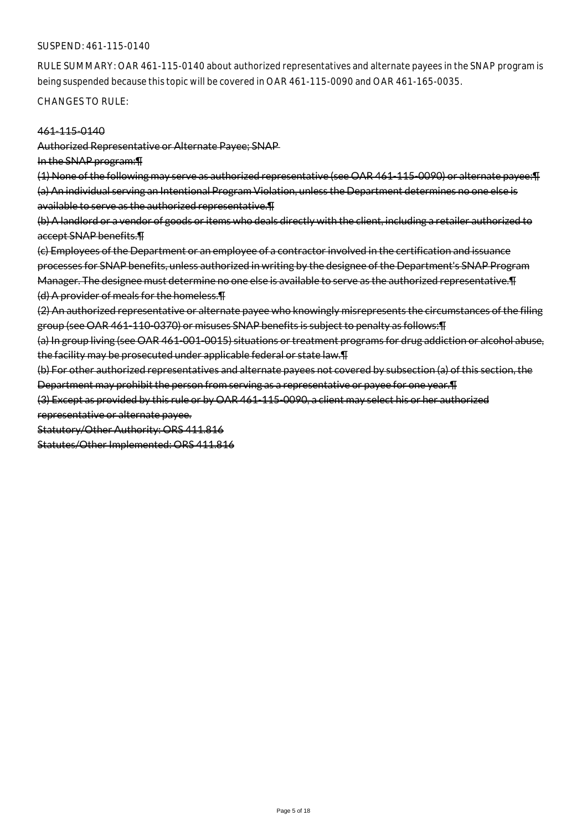#### SUSPEND: 461-115-0140

RULE SUMMARY: OAR 461-115-0140 about authorized representatives and alternate payees in the SNAP program is being suspended because this topic will be covered in OAR 461-115-0090 and OAR 461-165-0035.

CHANGES TO RULE:

#### 461-115-0140

Authorized Representative or Alternate Payee; SNAP

In the SNAP program:¶

(1) None of the following may serve as authorized representative (see OAR 461-115-0090) or alternate payee:¶ (a) An individual serving an Intentional Program Violation, unless the Department determines no one else is available to serve as the authorized representative.¶

(b) A landlord or a vendor of goods or items who deals directly with the client, including a retailer authorized to accept SNAP benefits.¶

(c) Employees of the Department or an employee of a contractor involved in the certification and issuance processes for SNAP benefits, unless authorized in writing by the designee of the Department's SNAP Program Manager. The designee must determine no one else is available to serve as the authorized representative.¶ (d) A provider of meals for the homeless.¶

(2) An authorized representative or alternate payee who knowingly misrepresents the circumstances of the filing group (see OAR 461-110-0370) or misuses SNAP benefits is subject to penalty as follows:¶

(a) In group living (see OAR 461-001-0015) situations or treatment programs for drug addiction or alcohol abuse, the facility may be prosecuted under applicable federal or state law.¶

(b) For other authorized representatives and alternate payees not covered by subsection (a) of this section, the Department may prohibit the person from serving as a representative or payee for one year.¶

(3) Except as provided by this rule or by OAR 461-115-0090, a client may select his or her authorized

representative or alternate payee.

Statutory/Other Authority: ORS 411.816

Statutes/Other Implemented: ORS 411.816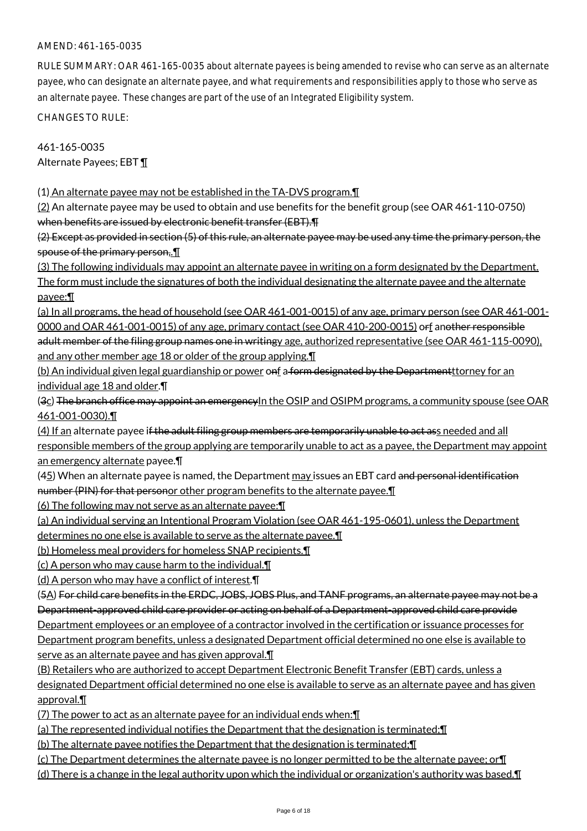# AMEND: 461-165-0035

RULE SUMMARY: OAR 461-165-0035 about alternate payees is being amended to revise who can serve as an alternate payee, who can designate an alternate payee, and what requirements and responsibilities apply to those who serve as an alternate payee. These changes are part of the use of an Integrated Eligibility system.

CHANGES TO RULE:

461-165-0035 Alternate Payees; EBT ¶

(1) An alternate payee may not be established in the TA-DVS program.¶

(2) An alternate payee may be used to obtain and use benefits for the benefit group (see OAR 461-110-0750) when benefits are issued by electronic benefit transfer (EBT).¶

(2) Except as provided in section (5) of this rule, an alternate payee may be used any time the primary person, the spouse of the primary person,.¶

(3) The following individuals may appoint an alternate payee in writing on a form designated by the Department. The form must include the signatures of both the individual designating the alternate payee and the alternate payee:¶

(a) In all programs, the head of household (see OAR 461-001-0015) of any age, primary person (see OAR 461-001- 0000 and OAR 461-001-0015) of any age, primary contact (see OAR 410-200-0015) orf another responsible adult member of the filing group names one in writingy age, authorized representative (see OAR 461-115-0090), and any other member age 18 or older of the group applying.¶

(b) An individual given legal guardianship or power onf a form designated by the Department torney for an individual age 18 and older.¶

(3c) The branch office may appoint an emergency In the OSIP and OSIPM programs, a community spouse (see OAR 461-001-0030).¶

(4) If an alternate payee i<del>f the adult filing group members are temporarily unable to act ass needed and all</del> responsible members of the group applying are temporarily unable to act as a payee, the Department may appoint an emergency alternate payee.¶

 $(45)$  When an alternate payee is named, the Department  $\frac{may}{l}$  issues an EBT card and personal identification number (PIN) for that personor other program benefits to the alternate payee. I

(6) The following may not serve as an alternate payee:¶

(a) An individual serving an Intentional Program Violation (see OAR 461-195-0601), unless the Department

determines no one else is available to serve as the alternate payee.¶

(b) Homeless meal providers for homeless SNAP recipients.¶

(c) A person who may cause harm to the individual.¶

(d) A person who may have a conflict of interest.¶

(5A) For child care benefits in the ERDC, JOBS, JOBS Plus, and TANF programs, an alternate payee may not be a Department-approved child care provider or acting on behalf of a Department-approved child care provide

Department employees or an employee of a contractor involved in the certification or issuance processes for

Department program benefits, unless a designated Department official determined no one else is available to serve as an alternate payee and has given approval.¶

(B) Retailers who are authorized to accept Department Electronic Benefit Transfer (EBT) cards, unless a designated Department official determined no one else is available to serve as an alternate payee and has given approval.¶

(7) The power to act as an alternate payee for an individual ends when:¶

(a) The represented individual notifies the Department that the designation is terminated;¶

(b) The alternate payee notifies the Department that the designation is terminated;¶

(c) The Department determines the alternate payee is no longer permitted to be the alternate payee; or¶

(d) There is a change in the legal authority upon which the individual or organization's authority was based.¶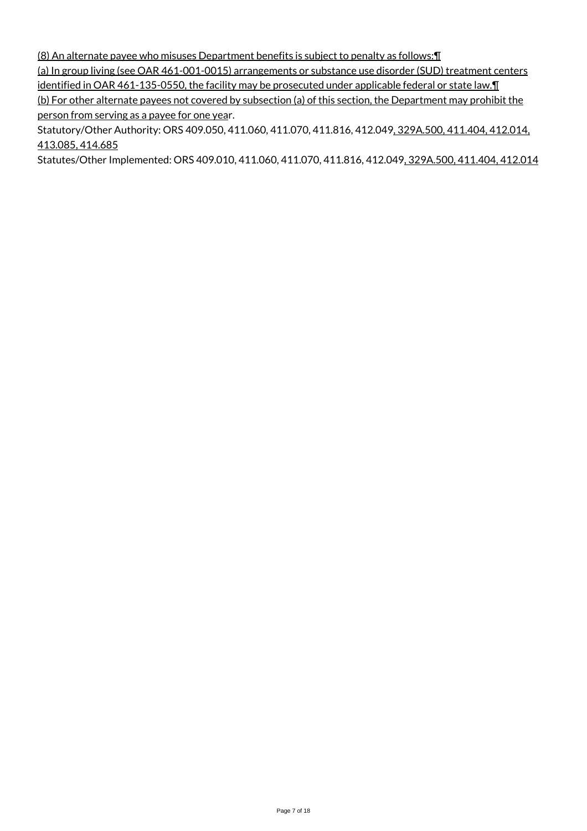(8) An alternate payee who misuses Department benefits is subject to penalty as follows:¶

(a) In group living (see OAR 461-001-0015) arrangements or substance use disorder (SUD) treatment centers identified in OAR 461-135-0550, the facility may be prosecuted under applicable federal or state law. I (b) For other alternate payees not covered by subsection (a) of this section, the Department may prohibit the

person from serving as a payee for one year.

Statutory/Other Authority: ORS 409.050, 411.060, 411.070, 411.816, 412.049, 329A.500, 411.404, 412.014, 413.085, 414.685

Statutes/Other Implemented: ORS 409.010, 411.060, 411.070, 411.816, 412.049, 329A.500, 411.404, 412.014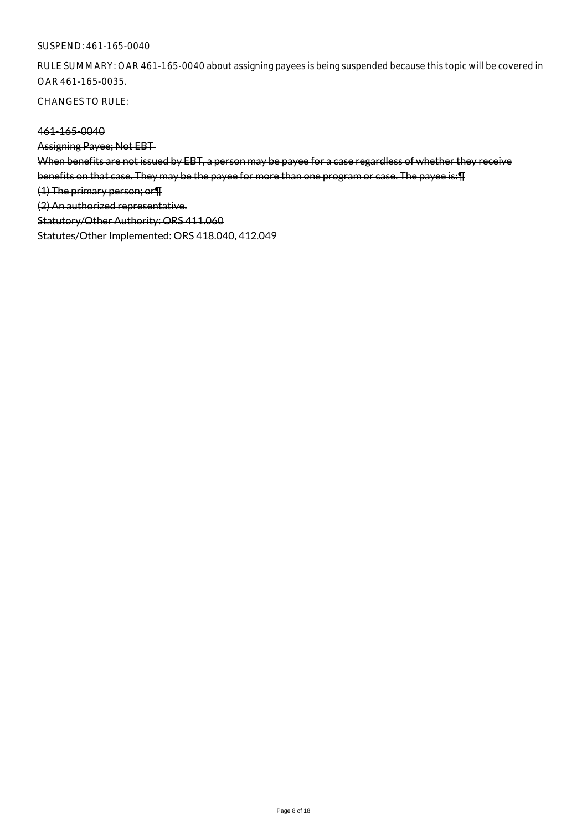### SUSPEND: 461-165-0040

RULE SUMMARY: OAR 461-165-0040 about assigning payees is being suspended because this topic will be covered in OAR 461-165-0035.

CHANGES TO RULE:

### 461-165-0040

Assigning Payee; Not EBT

When benefits are not issued by EBT, a person may be payee for a case regardless of whether they receive

benefits on that case. They may be the payee for more than one program or case. The payee is:¶

(1) The primary person; or¶

(2) An authorized representative.

Statutory/Other Authority: ORS 411.060

Statutes/Other Implemented: ORS 418.040, 412.049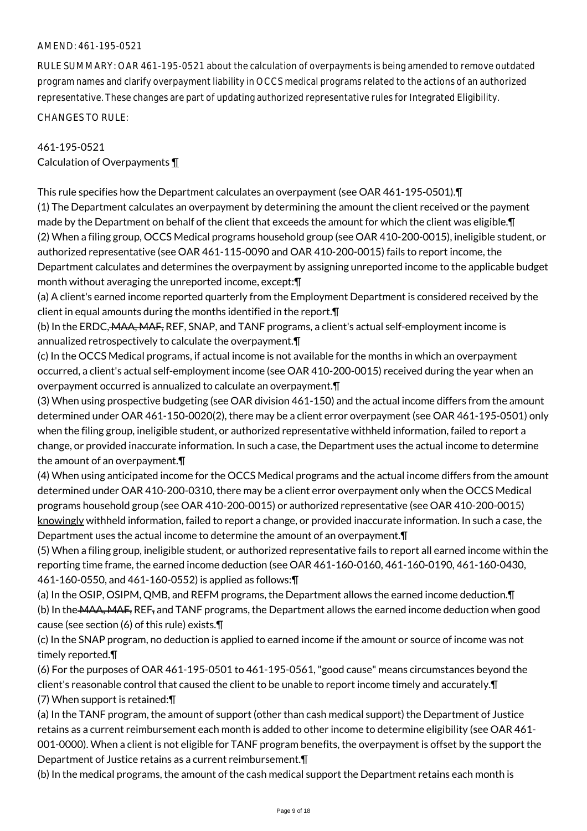### AMEND: 461-195-0521

RULE SUMMARY: OAR 461-195-0521 about the calculation of overpayments is being amended to remove outdated program names and clarify overpayment liability in OCCS medical programs related to the actions of an authorized representative. These changes are part of updating authorized representative rules for Integrated Eligibility. CHANGES TO RULE:

# 461-195-0521 Calculation of Overpayments ¶

This rule specifies how the Department calculates an overpayment (see OAR 461-195-0501).¶ (1) The Department calculates an overpayment by determining the amount the client received or the payment made by the Department on behalf of the client that exceeds the amount for which the client was eligible.¶ (2) When a filing group, OCCS Medical programs household group (see OAR 410-200-0015), ineligible student, or authorized representative (see OAR 461-115-0090 and OAR 410-200-0015) fails to report income, the Department calculates and determines the overpayment by assigning unreported income to the applicable budget month without averaging the unreported income, except:¶

(a) A client's earned income reported quarterly from the Employment Department is considered received by the client in equal amounts during the months identified in the report.¶

(b) In the ERDC, MAA, MAF, REF, SNAP, and TANF programs, a client's actual self-employment income is annualized retrospectively to calculate the overpayment.¶

(c) In the OCCS Medical programs, if actual income is not available for the months in which an overpayment occurred, a client's actual self-employment income (see OAR 410-200-0015) received during the year when an overpayment occurred is annualized to calculate an overpayment.¶

(3) When using prospective budgeting (see OAR division 461-150) and the actual income differs from the amount determined under OAR 461-150-0020(2), there may be a client error overpayment (see OAR 461-195-0501) only when the filing group, ineligible student, or authorized representative withheld information, failed to report a change, or provided inaccurate information. In such a case, the Department uses the actual income to determine the amount of an overpayment.¶

(4) When using anticipated income for the OCCS Medical programs and the actual income differs from the amount determined under OAR 410-200-0310, there may be a client error overpayment only when the OCCS Medical programs household group (see OAR 410-200-0015) or authorized representative (see OAR 410-200-0015) knowingly withheld information, failed to report a change, or provided inaccurate information. In such a case, the Department uses the actual income to determine the amount of an overpayment.¶

(5) When a filing group, ineligible student, or authorized representative fails to report all earned income within the reporting time frame, the earned income deduction (see OAR 461-160-0160, 461-160-0190, 461-160-0430, 461-160-0550, and 461-160-0552) is applied as follows:¶

(a) In the OSIP, OSIPM, QMB, and REFM programs, the Department allows the earned income deduction.¶ (b) In the MAA, MAF, REF, and TANF programs, the Department allows the earned income deduction when good cause (see section (6) of this rule) exists.¶

(c) In the SNAP program, no deduction is applied to earned income if the amount or source of income was not timely reported.¶

(6) For the purposes of OAR 461-195-0501 to 461-195-0561, "good cause" means circumstances beyond the client's reasonable control that caused the client to be unable to report income timely and accurately.¶ (7) When support is retained:¶

(a) In the TANF program, the amount of support (other than cash medical support) the Department of Justice retains as a current reimbursement each month is added to other income to determine eligibility (see OAR 461- 001-0000). When a client is not eligible for TANF program benefits, the overpayment is offset by the support the Department of Justice retains as a current reimbursement.¶

(b) In the medical programs, the amount of the cash medical support the Department retains each month is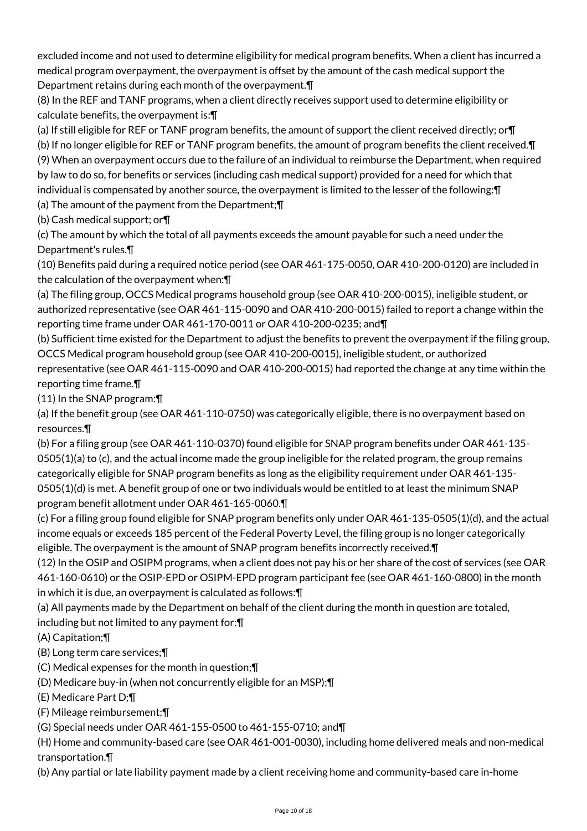excluded income and not used to determine eligibility for medical program benefits. When a client has incurred a medical program overpayment, the overpayment is offset by the amount of the cash medical support the Department retains during each month of the overpayment.¶

(8) In the REF and TANF programs, when a client directly receives support used to determine eligibility or calculate benefits, the overpayment is:¶

(a) If still eligible for REF or TANF program benefits, the amount of support the client received directly; or¶ (b) If no longer eligible for REF or TANF program benefits, the amount of program benefits the client received.¶ (9) When an overpayment occurs due to the failure of an individual to reimburse the Department, when required by law to do so, for benefits or services (including cash medical support) provided for a need for which that individual is compensated by another source, the overpayment is limited to the lesser of the following:¶ (a) The amount of the payment from the Department;¶

(b) Cash medical support; or¶

(c) The amount by which the total of all payments exceeds the amount payable for such a need under the Department's rules.¶

(10) Benefits paid during a required notice period (see OAR 461-175-0050, OAR 410-200-0120) are included in the calculation of the overpayment when:¶

(a) The filing group, OCCS Medical programs household group (see OAR 410-200-0015), ineligible student, or authorized representative (see OAR 461-115-0090 and OAR 410-200-0015) failed to report a change within the reporting time frame under OAR 461-170-0011 or OAR 410-200-0235; and¶

(b) Sufficient time existed for the Department to adjust the benefits to prevent the overpayment if the filing group, OCCS Medical program household group (see OAR 410-200-0015), ineligible student, or authorized representative (see OAR 461-115-0090 and OAR 410-200-0015) had reported the change at any time within the reporting time frame.¶

(11) In the SNAP program:¶

(a) If the benefit group (see OAR 461-110-0750) was categorically eligible, there is no overpayment based on resources.¶

(b) For a filing group (see OAR 461-110-0370) found eligible for SNAP program benefits under OAR 461-135- 0505(1)(a) to (c), and the actual income made the group ineligible for the related program, the group remains categorically eligible for SNAP program benefits as long as the eligibility requirement under OAR 461-135- 0505(1)(d) is met. A benefit group of one or two individuals would be entitled to at least the minimum SNAP program benefit allotment under OAR 461-165-0060.¶

(c) For a filing group found eligible for SNAP program benefits only under OAR 461-135-0505(1)(d), and the actual income equals or exceeds 185 percent of the Federal Poverty Level, the filing group is no longer categorically eligible. The overpayment is the amount of SNAP program benefits incorrectly received.¶

(12) In the OSIP and OSIPM programs, when a client does not pay his or her share of the cost of services (see OAR 461-160-0610) or the OSIP-EPD or OSIPM-EPD program participant fee (see OAR 461-160-0800) in the month in which it is due, an overpayment is calculated as follows:¶

(a) All payments made by the Department on behalf of the client during the month in question are totaled, including but not limited to any payment for:¶

# (A) Capitation;¶

- (B) Long term care services;¶
- (C) Medical expenses for the month in question;¶
- (D) Medicare buy-in (when not concurrently eligible for an MSP);¶
- (E) Medicare Part D;¶

(F) Mileage reimbursement;¶

(G) Special needs under OAR 461-155-0500 to 461-155-0710; and¶

(H) Home and community-based care (see OAR 461-001-0030), including home delivered meals and non-medical transportation.¶

(b) Any partial or late liability payment made by a client receiving home and community-based care in-home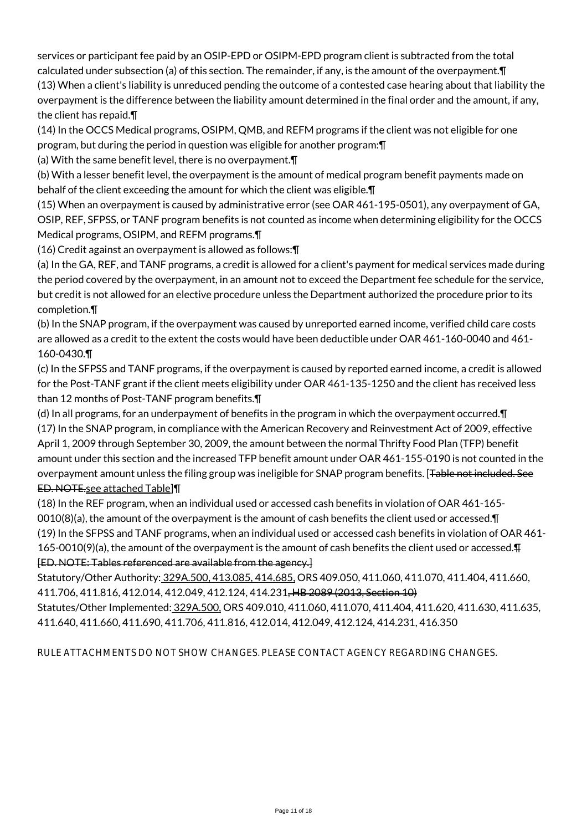services or participant fee paid by an OSIP-EPD or OSIPM-EPD program client is subtracted from the total calculated under subsection (a) of this section. The remainder, if any, is the amount of the overpayment.¶

(13) When a client's liability is unreduced pending the outcome of a contested case hearing about that liability the overpayment is the difference between the liability amount determined in the final order and the amount, if any, the client has repaid.¶

(14) In the OCCS Medical programs, OSIPM, QMB, and REFM programs if the client was not eligible for one program, but during the period in question was eligible for another program:¶

(a) With the same benefit level, there is no overpayment.¶

(b) With a lesser benefit level, the overpayment is the amount of medical program benefit payments made on behalf of the client exceeding the amount for which the client was eligible.¶

(15) When an overpayment is caused by administrative error (see OAR 461-195-0501), any overpayment of GA, OSIP, REF, SFPSS, or TANF program benefits is not counted as income when determining eligibility for the OCCS Medical programs, OSIPM, and REFM programs.¶

(16) Credit against an overpayment is allowed as follows:¶

(a) In the GA, REF, and TANF programs, a credit is allowed for a client's payment for medical services made during the period covered by the overpayment, in an amount not to exceed the Department fee schedule for the service, but credit is not allowed for an elective procedure unless the Department authorized the procedure prior to its completion.¶

(b) In the SNAP program, if the overpayment was caused by unreported earned income, verified child care costs are allowed as a credit to the extent the costs would have been deductible under OAR 461-160-0040 and 461- 160-0430.¶

(c) In the SFPSS and TANF programs, if the overpayment is caused by reported earned income, a credit is allowed for the Post-TANF grant if the client meets eligibility under OAR 461-135-1250 and the client has received less than 12 months of Post-TANF program benefits.¶

(d) In all programs, for an underpayment of benefits in the program in which the overpayment occurred.¶ (17) In the SNAP program, in compliance with the American Recovery and Reinvestment Act of 2009, effective April 1, 2009 through September 30, 2009, the amount between the normal Thrifty Food Plan (TFP) benefit amount under this section and the increased TFP benefit amount under OAR 461-155-0190 is not counted in the overpayment amount unless the filing group was ineligible for SNAP program benefits. [Table not included. See ED. NOTE.see attached Table]¶

(18) In the REF program, when an individual used or accessed cash benefits in violation of OAR 461-165-

0010(8)(a), the amount of the overpayment is the amount of cash benefits the client used or accessed.¶ (19) In the SFPSS and TANF programs, when an individual used or accessed cash benefits in violation of OAR 461- 165-0010(9)(a), the amount of the overpayment is the amount of cash benefits the client used or accessed.¶ [ED. NOTE: Tables referenced are available from the agency.]

Statutory/Other Authority: 329A.500, 413.085, 414.685, ORS 409.050, 411.060, 411.070, 411.404, 411.660, 411.706, 411.816, 412.014, 412.049, 412.124, 414.231, HB 2089 (2013, Section 10)

Statutes/Other Implemented: 329A.500, ORS 409.010, 411.060, 411.070, 411.404, 411.620, 411.630, 411.635, 411.640, 411.660, 411.690, 411.706, 411.816, 412.014, 412.049, 412.124, 414.231, 416.350

RULE ATTACHMENTS DO NOT SHOW CHANGES. PLEASE CONTACT AGENCY REGARDING CHANGES.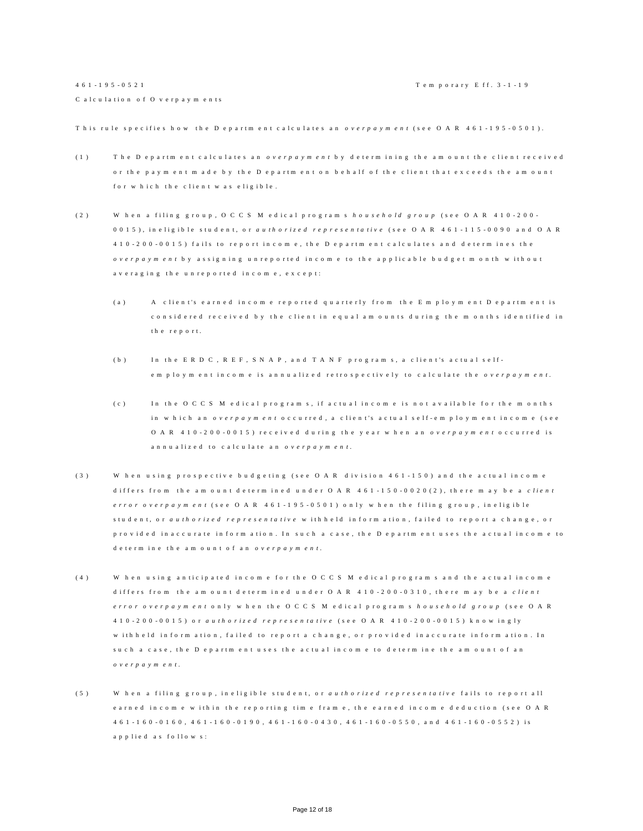This rule specifies how the Department calculates an *overpayment* (see OAR 461-195-0501).

- (1) The Department calculates an *overpayment* by determining the amount the client received or the payment made by the Department on behalf of the client that exceeds the amount for w h ich the client w as eligible.
- (2) When a filing group, OCCS M edical programs *household group* (see OAR 410-200-0015), in eligible student, or *authorized representative* (see OAR 461-115-0090 and OAR 410 - 200 - 0015 ) fails to report in come, the Department calculates and determines the *o v e r p a y m e n t* b y a s s i g n i n g u n r e p o r t e d i n c o m e t o t h e a p p l i c a b l e b u d g e t m o n t h w i t h o u t av e raging the unreported income, except:
	- (a) A client's earned income reported quarterly from the Employment Department is considered received by the client in equal amounts during the months identified in the report.
	- (b) In the ERD C, REF, SNAP, and TANF programs, a client's actual selfe m p lo y m entincome is annualized retrospectively to calculate the *overpayment*.
	- (c) In the OCCS M edical programs, if actual income is not available for the months in w hich an *o v e r p a y m e n t* o c curred, a client's actual self-employment income (see O A R 4 1 0 - 2 0 0 - 0 0 1 5 ) received during the year when an *overpayment* occurred is an nu a lized to calculate an *overpayment*.
- (3) When using prospective budgeting (see OAR division 461-150) and the actual income differs from the amount determined under OAR 4 6 1 - 150 - 00 2 0 (2), there may be a *client error overpayment* (see O A R 4 6 1 - 195 - 0 5 0 1) only when the filing group, ineligible student, or *authorized representative* with held inform ation, failed to report a change, or p r o v i d e d in a c c u r a te in form ation. In such a case, the D e p artment uses the actual income to d e t e r m in e th e a m o u n t o f a n *o v e r p a y m e n t*.
- (4) When using anticipated income for the OCCS Medical programs and the actual income differs from the amount determined under OAR 410-200-0310, there may be a *client e r r o r o v e r p a y m e n t* o n l y w h e n t h e O C C S M e d i c a l p r o g r a m s *hou s e h o l d g r o u p* ( s e e O A R 410 - 200 - 0015 ) o r *a u t h o r i z e d r e p r e s e n t a t i v e* ( s e e O A R 4 1 0 - 200 - 0 0 1 5 ) k n o w i n g l y w ith h e ld in form ation, failed to report a change, or provided in accurate in form ation. In su c h a c a s e , th e D e p a r t m e n t u s e s t h e a c t u a l in c o m e to d e t e r m in e the a m o u n t o f a n *o v e r p a y m e n t* .
- (5) When a filing group, ineligible student, or *authorized representative* fails to report all e a r n e d in c o m e w ithin the reporting time frame, the earned income deduction (see O A R 461 - 160 - 0 1 6 0 , 461 - 160 - 0190 , 4 6 1 - 160 - 0 4 3 0 , 4 6 1 - 160 - 055 0 , a n d 4 6 1 - 160 - 0552 ) i s a p p l i e d a s f o l l o w s :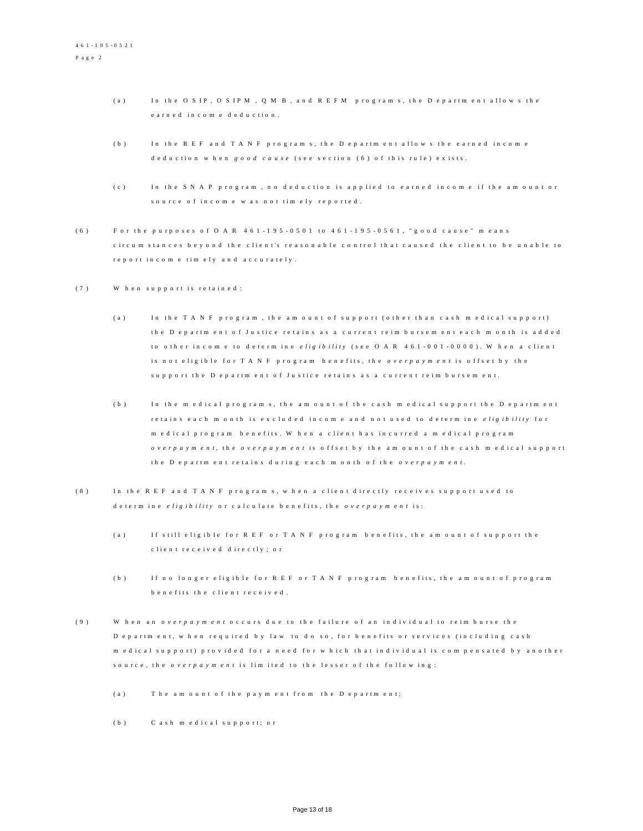- (a) In the O S IP, O S IP M, O M B, and R E F M programs, the D epartment allows the e a r n e d in c o m e d e d u c tion.
- (b) In the REF and TANF programs, the Department allows the earned income d e d u c tion when *good cause* (see section (6) of this rule) exists.
- (c) In the SNAP program, no deduction is applied to earned income if the amount or source of income was not timely reported.
- (6) F or the purposes of O A R  $461 195 0501$  to  $461 195 0561$ , "good cause" means circum stances beyond the client's reasonable control that caused the client to be unable to r e p o r t in c o m e tim e ly and accurately.
- (7) When support is retained:
	- (a) In the TANF program, the amount of support (other than cash medical support) the Department of Justice retains as a current reim bursement each month is added to other income to determine *e ligibility* (see OAR 461-001-0000). When a client is n o t e lig ible for T A N F program benefits, the *overpayment* is offset by the support the Department of Justice retains as a current reim bursement.
	- (b) In the medical programs, the amount of the cash medical support the Department r e tains e a ch m on th is excluded in come and not used to determine *e ligibility* for m e d i c a l p r o g r a m b e n e fits. Wh e n a c lient has incurred a m e d i c a l p r o g r a m *overpayment*, the *overpayment* is offset by the amount of the cash medical support the D epartm ent retains during each month of the *overpayment*.
- (8) In the REF and TANF programs, when a client directly receives support used to d e t e r m in e *e lig ibility* or calculate benefits, the *overpayment* is:
	- (a) If still eligible for R E F or T A N F program benefits, the amount of support the c lient received directly; or
	- (b) If no longer eligible for REF or TANF program benefits, the amount of program b e n e fits the client received.
- (9) When an *overpayment* occurs due to the failure of an individual to reimburse the D e p a r t m e n t, w h e n r e q u ir e d b y law to do so, for b e n e fits or services (in cluding cash m e d i c a l support) provided for a need for which that individual is compensated by another source, the *overpayment* is limited to the lesser of the following:
	- $(a)$  The amount of the payment from the Department;
	- (b) C a sh m e dical support; or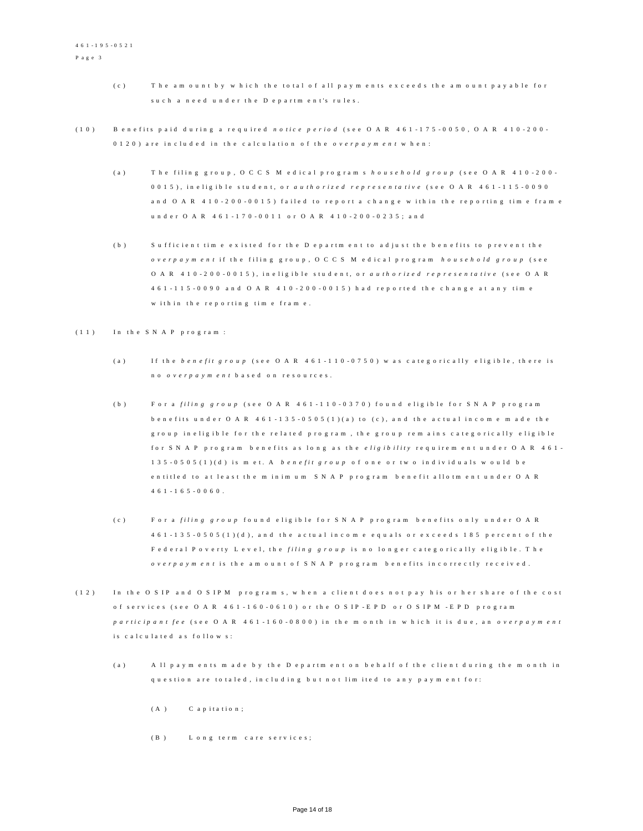- (c) The amount by which the total of all payments exceeds the amount payable for such a need under the Department's rules.
- (10) B en e fits paid during a required *notice period* (see OAR 461-175-0050, OAR 410-200-0120) are included in the calculation of the *overpayment* when:
	- (a) The filing group, OCCS Medical programs *household group* (see OAR 410-200-0015), in eligible student, or *authorized representative* (see OAR 461-115-0090 and O A R 4 1 0 - 200 - 0015) failed to report a change within the reporting time frame u n d e r O A R 4 6 1 - 1 7 0 - 0 0 1 1 o r O A R 4 1 0 - 2 0 0 - 0 2 3 5 ; a n d
	- (b) Sufficient time existed for the Department to adjust the benefits to prevent the *o v e r p a y m e n t* i f t h e f i l i n g g r o u p , O C C S M e d i c a l p r o g r a m *h o u s e h o l d g r o u p* ( s e e O A R 4 1 0 - 2 0 0 - 0 0 1 5), in eligible student, or *authorized representative* (see O A R 461 - 115 - 0090 and OAR 410 - 200 - 0015) had reported the change at any time w ith in the reporting time frame.

#### $(1 1)$  In the SNAP program:

- (a) If the *benefit group* (see OAR 461-110-0750) was categorically eligible, there is no *o v e r p a y m e n t* b a s e d o n r e s o u r c e s .
- (b) For a *filing group* (see OAR 461-110-0370) found eligible for SNAP program b e n e fits under  $O$  A R  $461 - 135 - 0505(1)(a)$  to (c), and the actual income m ade the g roup in eligible for the related program, the group remains categorically eligible for SNAP program benefits as long as the *eligibility* requirement under OAR 461-135 - 0 5 0 5 (1)(d) is met. A *benefit group* of one or two individuals would be en titled to at least the m in im um SNAP program benefit allotment under OAR  $461 - 165 - 0060$ .
- (c) F or a *filing group* found eligible for SNAP program benefits only under OAR  $461 - 135 - 0505(1)(d)$ , and the actual income equals or exceeds 185 percent of the Fed eral Poverty Level, the *filing group* is no longer categorically eligible. The *o v e r p a y m e n t* is the a m o u n t o f S N A P p ro g ram b e n e fits incorrectly received.
- (12) In the OSIP and OSIPM programs, when a client does not pay his or her share of the cost of services (see O A R 4 6 1 - 160 - 0 6 1 0) or the O S IP - E P D or O S IP M - E P D program *p a r tic i p a n t fe e* (see O A R 4 6 1 - 1 6 0 - 0 8 0 0 ) in the m o n th in w hich it is due, an *o v erp a y m ent* is calculated as follows:
	- (a) All payments made by the Department on behalf of the client during the month in q u e s tion are to taled, in cluding but not limited to any payment for:
		- $(A)$  C a p it a tion;
		- (B) L ong term care services;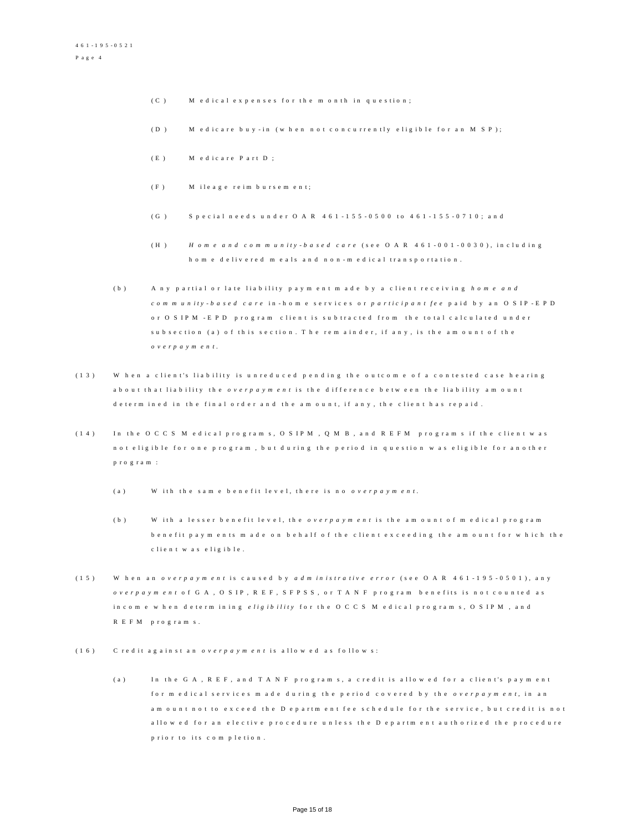- $(C)$  M edical expenses for the month in question;
- (D) Medicare buy-in (when not concurrently eligible for an MSP);
- (E) Medicare Part D;
- (F) Mileage reimbursement;
- (G) Special needs under  $O$  A R  $461 155 0500$  to  $461 155 0710$ ; and
- ( H ) *H o m e a n d c o m m u n i t y - b a s e d c a r e* ( s e e O A R 4 6 1 0 0 1 0030) , i n c l u d i n g h o m e d e liv e r e d m e a l s a n d n o n - m e d i c a l transportation.
- (b) A ny partial or late liability payment made by a client receiving home and *c o m m u n i t y - b a s e d c a r e* i n - h o m e s e r v i c e s o r *p a r t i c i p a n t f e e* p a i d b y a n O S I P - E P D or O S IPM - E P D program client is subtracted from the total calculated under sub section (a) of this section. The rem ainder, if any, is the amount of the *o v e r p a y m e n t* .
- (13) When a client's liability is unreduced pending the outcome of a contested case hearing a b o u t that liability the *overpayment* is the difference between the liability amount d e t e r m in e d in the final order and the amount, if any, the client has repaid.
- (14) In the OCCS M edical programs, OSIPM, OMB, and REFM programs if the client was n o t e lig ible for one program, but during the period in question was eligible for another p r o g r a m :
	- (a) W ith the same benefit level, there is no *overpayment*.
	- (b) With a lesser benefit level, the *overpayment* is the amount of medical program b e n e fit p a y m e n t s m a d e o n b e h a l f o f th e client exceeding the amount for w hich the c lient was e ligible.
- (15) When an *overpayment* is caused by *a dm inistrative error* (see OAR 461-195-0501), any *overpayment* of GA, O SIP, R E F, S F P S S, or T A N F program benefits is not counted as in c o m e w h en d e t er m in in g e ligibility for the OCCS M edical programs, OSIPM, and R E F M p r o g r a m s .
- (16) C red it against an *overpayment* is allowed as follows:
	- (a) In the GA, REF, and TANF programs, a credit is allowed for a client's payment for m edical services made during the period covered by the *overpayment*, in an am ount not to exceed the Department fee schedule for the service, but credit is not a l l o w e d for an elective procedure un less the D epartment authorized the procedure p rior to its completion.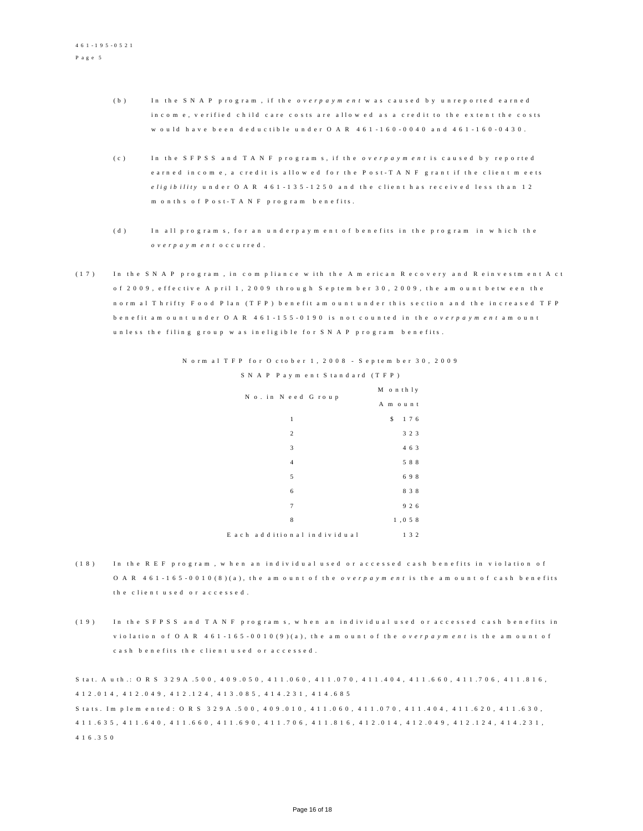- (b) In the SNAP program, if the *overpayment* was caused by unreported earned in c o m e, v e rified child care costs are allowed as a credit to the extent the costs w ould have been deductible under OAR 461-160-0040 and 461-160-0430.
- (c) In the SFPSS and TANF programs, if the *overpayment* is caused by reported e a r n e d in c o m e , a c r e d it is allowed for the P o st - T A N F g r a n t if the client meets *e lig ib ility* under OAR 461-135-1250 and the client has received less than 12 m on th s of P o s t - T A N F p r o g r a m b e n e fits.
- (d) In all programs, for an underpayment of benefits in the program in which the *o v e r p a y m e n t* o c c u r r e d .
- (17) In the SNAP program, in compliance with the American Recovery and Reinvestment Act of 2009, effective A pril 1, 2009 through September 30, 2009, the amount between the n o r m al T h r if t y F o o d P l a n (T F P ) b e n e fit a m o unt under this section and the increased TFP b e n e fit a m o u n t u n d e r O A R 4 6 1 - 155 - 0 190 is not counted in the *overpayment* amount un less the filing group was ineligible for SNAP program benefits.

| No. in Need Group          | M on thly   |
|----------------------------|-------------|
|                            | A m ount    |
| $\mathbf{1}$               | 1 7 6<br>\$ |
| $\overline{c}$             | 3 2 3       |
| 3                          | 4 6 3       |
| $\overline{4}$             | 588         |
| 5                          | 698         |
| 6                          | 8 3 8       |
| $\overline{7}$             | 9 2 6       |
| 8                          | 1, 0 5 8    |
| Each additional individual | 132         |

N orm al T F P f or O c t o b e r 1, 2008 - S e p t e m b e r 30, 2009 S N A P P a y m e n t S tandard (TFP)

- (18) In the REF program, when an individual used or accessed cash benefits in violation of O A R 4 6 1 - 165 - 0 0 1 0 (8) (a), the amount of the *overpayment* is the amount of cash benefits the client used or accessed.
- (19) In the SFPSS and TANF programs, when an individual used or accessed cash benefits in violation of O A R 4 6 1 - 1 6 5 - 0 0 1 0 (9) (a), the am ount of the *overpayment* is the amount of c a s h b e n e fits the client u s e d o r a c c e s s e d .

S t a t . A u t h .: O R S 3 2 9 A .5 0 0 , 4 0 9 .0 5 0 , 4 1 1 .0 6 0 , 4 1 1 .0 7 0 , 4 1 1 .4 0 4 , 4 1 1 .6 6 0 , 4 1 1 .7 0 6 , 4 1 1 .8 1 6 , 4 1 2 . 0 1 4 , 4 1 2 . 0 4 9 , 4 1 2 . 1 2 4 , 4 1 3 . 0 8 5 , 4 1 4 . 2 3 1 , 4 1 4 . 6 8 5 S tats. Im plem ented: O R S 3 2 9 A . 5 0 0, 4 0 9 . 0 1 0, 4 1 1 . 0 6 0, 4 1 1 . 0 7 0, 4 1 1 . 4 0 4, 4 1 1 . 6 2 0, 4 1 1 . 6 3 0, 4 1 1 . 6 3 5 , 4 1 1 . 6 4 0 , 4 1 1 . 6 6 0 , 4 1 1 . 6 9 0 , 4 1 1 . 7 0 6 , 4 1 1 . 8 1 6 , 4 1 2 . 0 1 4 , 4 1 2 . 0 4 9 , 4 1 2 . 1 2 4 , 4 1 4 . 2 3 1 , 4 1 6 . 3 5 0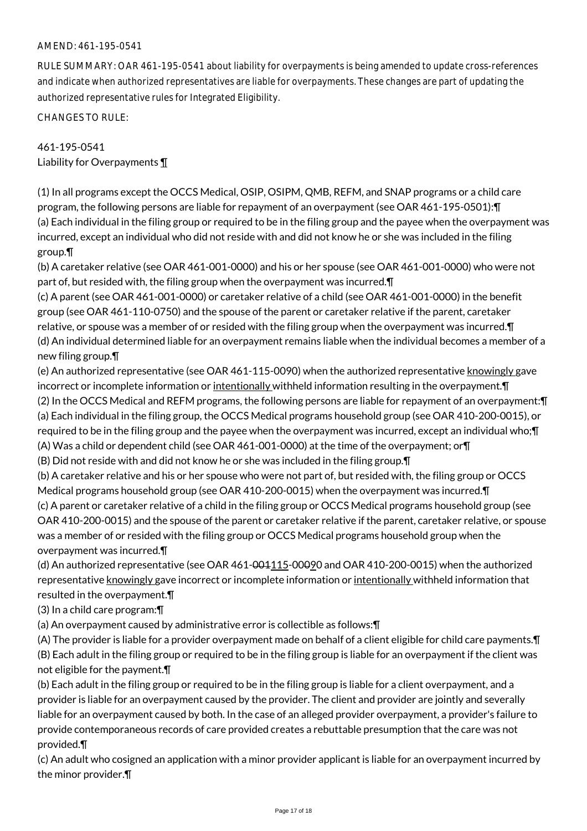### AMEND: 461-195-0541

RULE SUMMARY: OAR 461-195-0541 about liability for overpayments is being amended to update cross-references and indicate when authorized representatives are liable for overpayments. These changes are part of updating the authorized representative rules for Integrated Eligibility.

CHANGES TO RULE:

461-195-0541 Liability for Overpayments ¶

(1) In all programs except the OCCS Medical, OSIP, OSIPM, QMB, REFM, and SNAP programs or a child care program, the following persons are liable for repayment of an overpayment (see OAR 461-195-0501):¶ (a) Each individual in the filing group or required to be in the filing group and the payee when the overpayment was incurred, except an individual who did not reside with and did not know he or she was included in the filing group.¶

(b) A caretaker relative (see OAR 461-001-0000) and his or her spouse (see OAR 461-001-0000) who were not part of, but resided with, the filing group when the overpayment was incurred.¶

(c) A parent (see OAR 461-001-0000) or caretaker relative of a child (see OAR 461-001-0000) in the benefit group (see OAR 461-110-0750) and the spouse of the parent or caretaker relative if the parent, caretaker relative, or spouse was a member of or resided with the filing group when the overpayment was incurred.¶ (d) An individual determined liable for an overpayment remains liable when the individual becomes a member of a new filing group.¶

(e) An authorized representative (see OAR 461-115-0090) when the authorized representative knowingly gave incorrect or incomplete information or intentionally withheld information resulting in the overpayment. T (2) In the OCCS Medical and REFM programs, the following persons are liable for repayment of an overpayment:¶ (a) Each individual in the filing group, the OCCS Medical programs household group (see OAR 410-200-0015), or required to be in the filing group and the payee when the overpayment was incurred, except an individual who;¶ (A) Was a child or dependent child (see OAR 461-001-0000) at the time of the overpayment; or¶ (B) Did not reside with and did not know he or she was included in the filing group.¶

(b) A caretaker relative and his or her spouse who were not part of, but resided with, the filing group or OCCS Medical programs household group (see OAR 410-200-0015) when the overpayment was incurred.¶

(c) A parent or caretaker relative of a child in the filing group or OCCS Medical programs household group (see OAR 410-200-0015) and the spouse of the parent or caretaker relative if the parent, caretaker relative, or spouse was a member of or resided with the filing group or OCCS Medical programs household group when the overpayment was incurred.¶

(d) An authorized representative (see OAR  $461-001115-00090$  and OAR  $410-200-0015$ ) when the authorized representative knowingly gave incorrect or incomplete information or intentionally withheld information that resulted in the overpayment.¶

(3) In a child care program:¶

(a) An overpayment caused by administrative error is collectible as follows:¶

(A) The provider is liable for a provider overpayment made on behalf of a client eligible for child care payments.¶ (B) Each adult in the filing group or required to be in the filing group is liable for an overpayment if the client was not eligible for the payment.¶

(b) Each adult in the filing group or required to be in the filing group is liable for a client overpayment, and a provider is liable for an overpayment caused by the provider. The client and provider are jointly and severally liable for an overpayment caused by both. In the case of an alleged provider overpayment, a provider's failure to provide contemporaneous records of care provided creates a rebuttable presumption that the care was not provided.¶

(c) An adult who cosigned an application with a minor provider applicant is liable for an overpayment incurred by the minor provider.¶